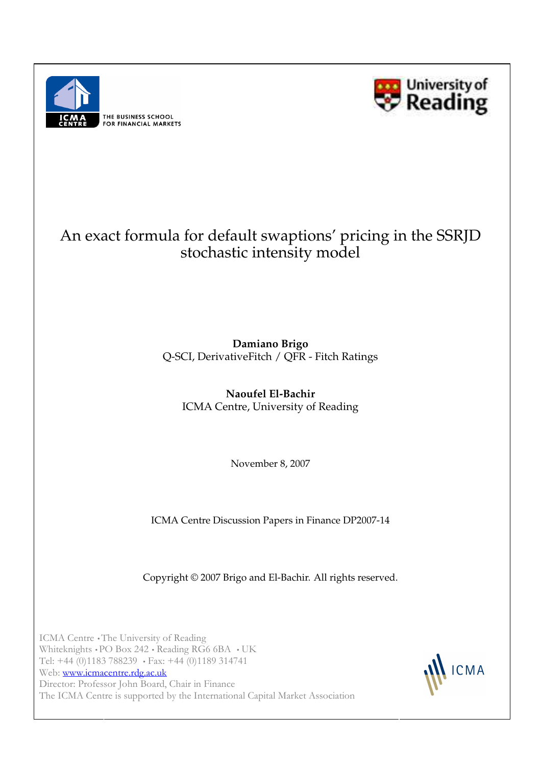



# An exact formula for default swaptions' pricing in the SSRJD stochastic intensity model

 Q-SCI, DerivativeFitch / QFR - Fitch Ratings **Damiano Brigo**

**Naoufel El-Bachir** ICMA Centre, University of Reading

November 8, 2007

ICMA Centre Discussion Papers in Finance DP2007-14

Copyright © 2007 Brigo and El-Bachir. All rights reserved.

ICMA Centre •The University of Reading Whiteknights • PO Box 242 • Reading RG6 6BA • UK Tel: +44 (0)1183 788239 • Fax: +44 (0)1189 314741 Web: www.icmacentre.rdg.ac.uk Director: Professor John Board, Chair in Finance The ICMA Centre is supported by the International Capital Market Association

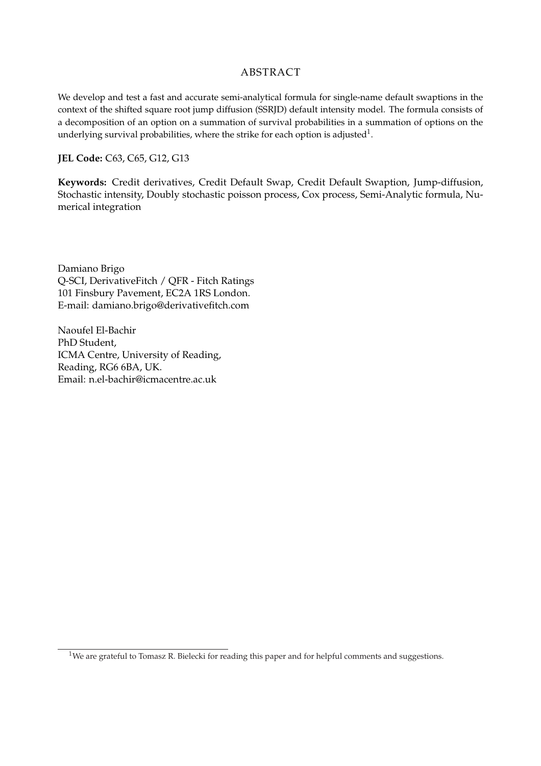# ABSTRACT

We develop and test a fast and accurate semi-analytical formula for single-name default swaptions in the context of the shifted square root jump diffusion (SSRJD) default intensity model. The formula consists of a decomposition of an option on a summation of survival probabilities in a summation of options on the underlying survival probabilities, where the strike for each option is adjusted<sup>1</sup>.

#### **JEL Code:** C63, C65, G12, G13

**Keywords:** Credit derivatives, Credit Default Swap, Credit Default Swaption, Jump-diffusion, Stochastic intensity, Doubly stochastic poisson process, Cox process, Semi-Analytic formula, Numerical integration

Damiano Brigo Q-SCI, DerivativeFitch / QFR - Fitch Ratings 101 Finsbury Pavement, EC2A 1RS London. E-mail: damiano.brigo@derivativefitch.com

Naoufel El-Bachir PhD Student, ICMA Centre, University of Reading, Reading, RG6 6BA, UK. Email: n.el-bachir@icmacentre.ac.uk

<sup>&</sup>lt;sup>1</sup>We are grateful to Tomasz R. Bielecki for reading this paper and for helpful comments and suggestions.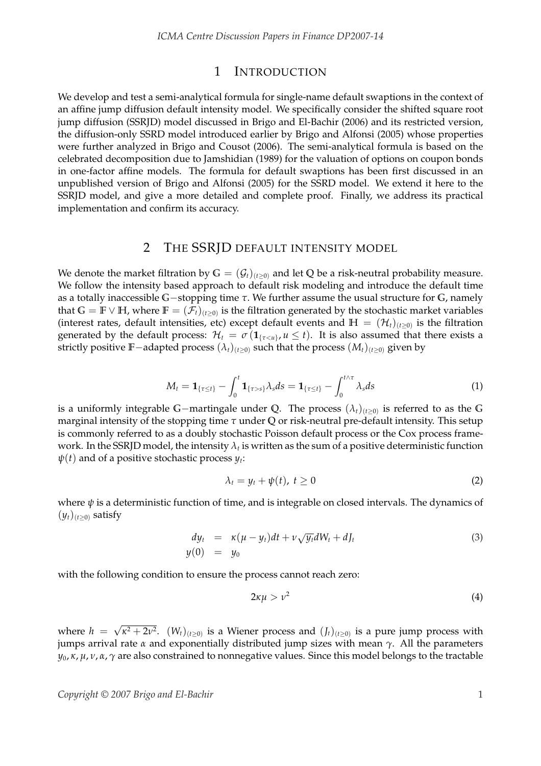## 1 INTRODUCTION

We develop and test a semi-analytical formula for single-name default swaptions in the context of an affine jump diffusion default intensity model. We specifically consider the shifted square root jump diffusion (SSRJD) model discussed in Brigo and El-Bachir (2006) and its restricted version, the diffusion-only SSRD model introduced earlier by Brigo and Alfonsi (2005) whose properties were further analyzed in Brigo and Cousot (2006). The semi-analytical formula is based on the celebrated decomposition due to Jamshidian (1989) for the valuation of options on coupon bonds in one-factor affine models. The formula for default swaptions has been first discussed in an unpublished version of Brigo and Alfonsi (2005) for the SSRD model. We extend it here to the SSRJD model, and give a more detailed and complete proof. Finally, we address its practical implementation and confirm its accuracy.

## 2 THE SSRJD DEFAULT INTENSITY MODEL

We denote the market filtration by  $G = (G_t)_{(t \geq 0)}$  and let Q be a risk-neutral probability measure. We follow the intensity based approach to default risk modeling and introduce the default time as a totally inaccessible **G**−stopping time *τ*. We further assume the usual structure for **G**, namely that  $G = \mathbb{F} \vee \mathbb{H}$ , where  $\mathbb{F} = (\mathcal{F}_t)_{(t \geq 0)}$  is the filtration generated by the stochastic market variables (interest rates, default intensities, etc) except default events and  $H = (\mathcal{H}_t)_{(t \geq 0)}$  is the filtration generated by the default process:  $\mathcal{H}_t = \sigma(\mathbf{1}_{\{\tau \leq u\}}, u \leq t)$ . It is also assumed that there exists a strictly positive **F**−adapted process  $(\lambda_t)_{(t\geq0)}$  such that the process  $(M_t)_{(t\geq0)}$  given by

$$
M_t = \mathbf{1}_{\{\tau \le t\}} - \int_0^t \mathbf{1}_{\{\tau > s\}} \lambda_s ds = \mathbf{1}_{\{\tau \le t\}} - \int_0^{t \wedge \tau} \lambda_s ds \tag{1}
$$

is a uniformly integrable G−martingale under Q. The process  $(\lambda_t)_{(t\geq0)}$  is referred to as the G marginal intensity of the stopping time *τ* under **Q** or risk-neutral pre-default intensity. This setup is commonly referred to as a doubly stochastic Poisson default process or the Cox process framework. In the SSRJD model, the intensity  $\lambda_t$  is written as the sum of a positive deterministic function  $\psi(t)$  and of a positive stochastic process  $y_t$ :

$$
\lambda_t = y_t + \psi(t), \ t \ge 0 \tag{2}
$$

where  $\psi$  is a deterministic function of time, and is integrable on closed intervals. The dynamics of  $(y_t)_{(t\geq0)}$  satisfy

$$
dy_t = \kappa(\mu - y_t)dt + \nu \sqrt{y_t}dW_t + dJ_t
$$
  
\n
$$
y(0) = y_0
$$
\n(3)

with the following condition to ensure the process cannot reach zero:

$$
2\kappa\mu > \nu^2 \tag{4}
$$

where  $h =$ √  $\kappa^2 + 2\nu^2$ .  $(W_t)_{(t \geq 0)}$  is a Wiener process and  $(J_t)_{(t \geq 0)}$  is a pure jump process with jumps arrival rate *α* and exponentially distributed jump sizes with mean *γ*. All the parameters *y*0, *κ*, *µ*, *ν*, *α*, *γ* are also constrained to nonnegative values. Since this model belongs to the tractable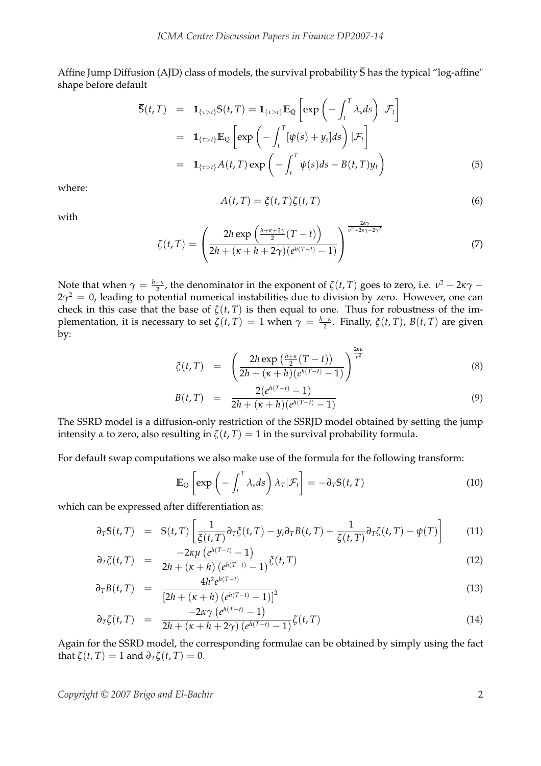Affine Jump Diffusion (AJD) class of models, the survival probability **S** has the typical "log-affine" shape before default

$$
\overline{\mathbf{S}}(t,T) = \mathbf{1}_{\{\tau > t\}} \mathbf{S}(t,T) = \mathbf{1}_{\{\tau > t\}} \mathbb{E}_{\mathbf{Q}} \left[ \exp \left( - \int_{t}^{T} \lambda_{s} ds \right) | \mathcal{F}_{t} \right]
$$

$$
= \mathbf{1}_{\{\tau > t\}} \mathbb{E}_{\mathbf{Q}} \left[ \exp \left( - \int_{t}^{T} [\psi(s) + y_{s}] ds \right) | \mathcal{F}_{t} \right]
$$

$$
= \mathbf{1}_{\{\tau > t\}} A(t,T) \exp \left( - \int_{t}^{T} \psi(s) ds - B(t,T) y_{t} \right) \tag{5}
$$

where:

$$
A(t,T) = \xi(t,T)\zeta(t,T) \tag{6}
$$

with

$$
\zeta(t,T) = \left(\frac{2h \exp\left(\frac{h+\kappa+2\gamma}{2}(T-t)\right)}{2h + (\kappa+h+2\gamma)(e^{h(T-t)}-1)}\right)^{\frac{2\alpha\gamma}{\nu^2-2\kappa\gamma-2\gamma^2}}
$$
(7)

Note that when  $\gamma = \frac{h-\kappa}{2}$ , the denominator in the exponent of  $\zeta(t,T)$  goes to zero, i.e.  $v^2 - 2\kappa\gamma - 1$  $2\gamma^2 = 0$ , leading to potential numerical instabilities due to division by zero. However, one can check in this case that the base of  $\zeta(t, T)$  is then equal to one. Thus for robustness of the implementation, it is necessary to set  $\zeta(t,T) = 1$  when  $\gamma = \frac{h-\kappa}{2}$ . Finally,  $\zeta(t,T)$ ,  $B(t,T)$  are given by:

$$
\xi(t,T) = \left(\frac{2h \exp\left(\frac{h+\kappa}{2}(T-t)\right)}{2h + (\kappa + h)(e^{h(T-t)} - 1)}\right)^{\frac{2\kappa\mu}{\nu^2}}
$$
(8)

!2*κµ*

$$
B(t,T) = \frac{2(e^{h(T-t)} - 1)}{2h + (\kappa + h)(e^{h(T-t)} - 1)}
$$
\n(9)

The SSRD model is a diffusion-only restriction of the SSRJD model obtained by setting the jump intensity  $\alpha$  to zero, also resulting in  $\zeta(t, T) = 1$  in the survival probability formula.

For default swap computations we also make use of the formula for the following transform:

$$
\mathbb{E}_{\mathbb{Q}}\left[\exp\left(-\int_{t}^{T} \lambda_{s} ds\right) \lambda_{T} | \mathcal{F}_{t}\right] = -\partial_{T} S(t, T) \tag{10}
$$

which can be expressed after differentiation as:

$$
\partial_T S(t,T) = S(t,T) \left[ \frac{1}{\xi(t,T)} \partial_T \xi(t,T) - y_t \partial_T B(t,T) + \frac{1}{\zeta(t,T)} \partial_T \zeta(t,T) - \psi(T) \right]
$$
(11)

$$
\partial_T \xi(t, T) = \frac{-2\kappa \mu (e^{h(T-t)} - 1)}{2h + (\kappa + h) (e^{h(T-t)} - 1)} \xi(t, T)
$$
(12)

$$
\partial_T B(t, T) = \frac{4h^2 e^{h(T-t)}}{\left[2h + (\kappa + h) \left(e^{h(T-t)} - 1\right)\right]^2}
$$
(13)

$$
\partial_T \zeta(t,T) = \frac{-2\alpha \gamma (e^{h(T-t)} - 1)}{2h + (\kappa + h + 2\gamma) (e^{h(T-t)} - 1)} \zeta(t,T) \tag{14}
$$

Again for the SSRD model, the corresponding formulae can be obtained by simply using the fact that  $\zeta(t, T) = 1$  and  $\partial_T \zeta(t, T) = 0$ .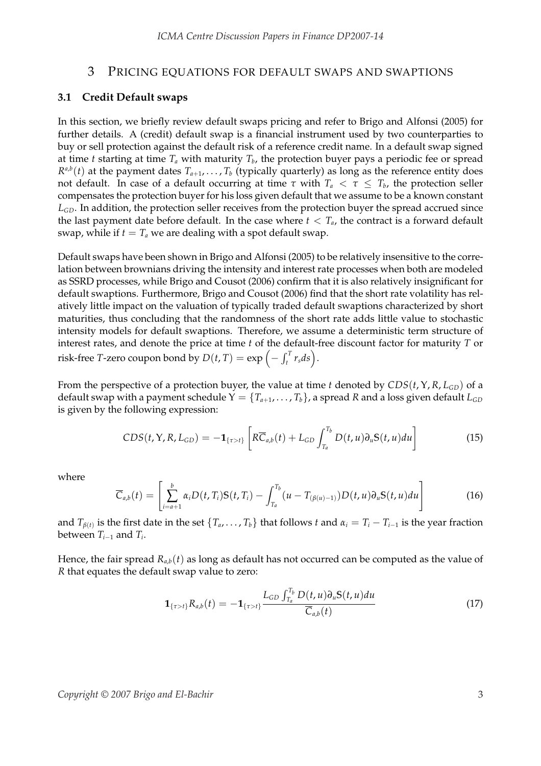#### 3 PRICING EQUATIONS FOR DEFAULT SWAPS AND SWAPTIONS

#### **3.1 Credit Default swaps**

In this section, we briefly review default swaps pricing and refer to Brigo and Alfonsi (2005) for further details. A (credit) default swap is a financial instrument used by two counterparties to buy or sell protection against the default risk of a reference credit name. In a default swap signed at time *t* starting at time *T<sup>a</sup>* with maturity *T<sup>b</sup>* , the protection buyer pays a periodic fee or spread  $R^{a,b}(t)$  at the payment dates  $T_{a+1}, \ldots, T_b$  (typically quarterly) as long as the reference entity does not default. In case of a default occurring at time  $\tau$  with  $T_a < \tau \leq T_b$ , the protection seller compensates the protection buyer for his loss given default that we assume to be a known constant *LGD*. In addition, the protection seller receives from the protection buyer the spread accrued since the last payment date before default. In the case where  $t < T_a$ , the contract is a forward default swap, while if  $t = T_a$  we are dealing with a spot default swap.

Default swaps have been shown in Brigo and Alfonsi (2005) to be relatively insensitive to the correlation between brownians driving the intensity and interest rate processes when both are modeled as SSRD processes, while Brigo and Cousot (2006) confirm that it is also relatively insignificant for default swaptions. Furthermore, Brigo and Cousot (2006) find that the short rate volatility has relatively little impact on the valuation of typically traded default swaptions characterized by short maturities, thus concluding that the randomness of the short rate adds little value to stochastic intensity models for default swaptions. Therefore, we assume a deterministic term structure of interest rates, and denote the price at time *t* of the default-free discount factor for maturity *T* or risk-free *T*-zero coupon bond by  $D(t, T) = \exp \left(-\int_t^T$  $\left(\begin{matrix} r & r_s ds \end{matrix}\right).$ 

From the perspective of a protection buyer, the value at time *t* denoted by *CDS*(*t*, Υ, *R*, *LGD*) of a default swap with a payment schedule  $Y = \{T_{a+1}, \ldots, T_b\}$ , a spread *R* and a loss given default  $L_{GD}$ is given by the following expression:

$$
CDS(t, Y, R, L_{GD}) = -\mathbf{1}_{\{\tau > t\}} \left[ R \overline{C}_{a,b}(t) + L_{GD} \int_{T_a}^{T_b} D(t, u) \partial_u S(t, u) du \right]
$$
(15)

where

$$
\overline{C}_{a,b}(t) = \left[ \sum_{i=a+1}^{b} \alpha_i D(t, T_i) S(t, T_i) - \int_{T_a}^{T_b} (u - T_{(\beta(u)-1)}) D(t, u) \partial_u S(t, u) du \right]
$$
(16)

and  $T_{\beta(t)}$  is the first date in the set  $\{T_a, \ldots, T_b\}$  that follows *t* and  $\alpha_i = T_i - T_{i-1}$  is the year fraction between *Ti*−<sup>1</sup> and *T<sup>i</sup>* .

Hence, the fair spread  $R_{a,b}(t)$  as long as default has not occurred can be computed as the value of *R* that equates the default swap value to zero:

$$
\mathbf{1}_{\{\tau > t\}} R_{a,b}(t) = -\mathbf{1}_{\{\tau > t\}} \frac{L_{GD} \int_{T_a}^{T_b} D(t, u) \partial_u S(t, u) du}{\overline{C}_{a,b}(t)}
$$
(17)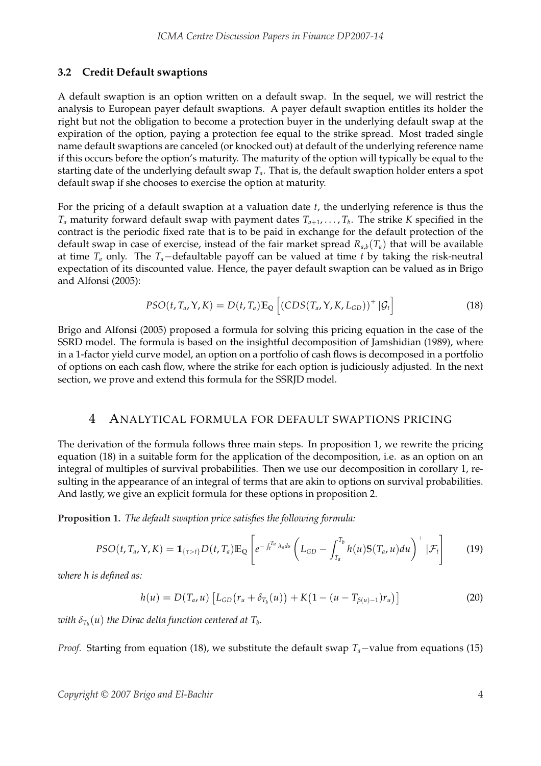## **3.2 Credit Default swaptions**

A default swaption is an option written on a default swap. In the sequel, we will restrict the analysis to European payer default swaptions. A payer default swaption entitles its holder the right but not the obligation to become a protection buyer in the underlying default swap at the expiration of the option, paying a protection fee equal to the strike spread. Most traded single name default swaptions are canceled (or knocked out) at default of the underlying reference name if this occurs before the option's maturity. The maturity of the option will typically be equal to the starting date of the underlying default swap  $T_a$ . That is, the default swaption holder enters a spot default swap if she chooses to exercise the option at maturity.

For the pricing of a default swaption at a valuation date *t*, the underlying reference is thus the *T<sup>a</sup>* maturity forward default swap with payment dates *Ta*+1, . . . , *T<sup>b</sup>* . The strike *K* specified in the contract is the periodic fixed rate that is to be paid in exchange for the default protection of the default swap in case of exercise, instead of the fair market spread  $R_{a,b}(T_a)$  that will be available at time *T<sup>a</sup>* only. The *Ta*−defaultable payoff can be valued at time *t* by taking the risk-neutral expectation of its discounted value. Hence, the payer default swaption can be valued as in Brigo and Alfonsi (2005):

$$
PSO(t, T_a, Y, K) = D(t, T_a) \mathbb{E}_{\mathbb{Q}} \left[ \left( CDS(T_a, Y, K, L_{GD}) \right)^+ | \mathcal{G}_t \right]
$$
(18)

Brigo and Alfonsi (2005) proposed a formula for solving this pricing equation in the case of the SSRD model. The formula is based on the insightful decomposition of Jamshidian (1989), where in a 1-factor yield curve model, an option on a portfolio of cash flows is decomposed in a portfolio of options on each cash flow, where the strike for each option is judiciously adjusted. In the next section, we prove and extend this formula for the SSRJD model.

# 4 ANALYTICAL FORMULA FOR DEFAULT SWAPTIONS PRICING

The derivation of the formula follows three main steps. In proposition 1, we rewrite the pricing equation (18) in a suitable form for the application of the decomposition, i.e. as an option on an integral of multiples of survival probabilities. Then we use our decomposition in corollary 1, resulting in the appearance of an integral of terms that are akin to options on survival probabilities. And lastly, we give an explicit formula for these options in proposition 2.

**Proposition 1.** *The default swaption price satisfies the following formula:*

$$
PSO(t, T_a, Y, K) = \mathbf{1}_{\{\tau > t\}} D(t, T_a) \mathbb{E}_{\mathbb{Q}} \left[ e^{-\int_t^{T_a} \lambda_s ds} \left( L_{GD} - \int_{T_a}^{T_b} h(u) \mathbb{S}(T_a, u) du \right)^{+} | \mathcal{F}_t \right]
$$
(19)

*where h is defined as:*

$$
h(u) = D(T_a, u) [L_{GD}(r_u + \delta_{T_b}(u)) + K(1 - (u - T_{\beta(u)-1})r_u)]
$$
\n(20)

 $w$ ith  $\delta_{T_b}(u)$  the Dirac delta function centered at  $T_b$ .

*Proof.* Starting from equation (18), we substitute the default swap *T<sub>a</sub>*−value from equations (15)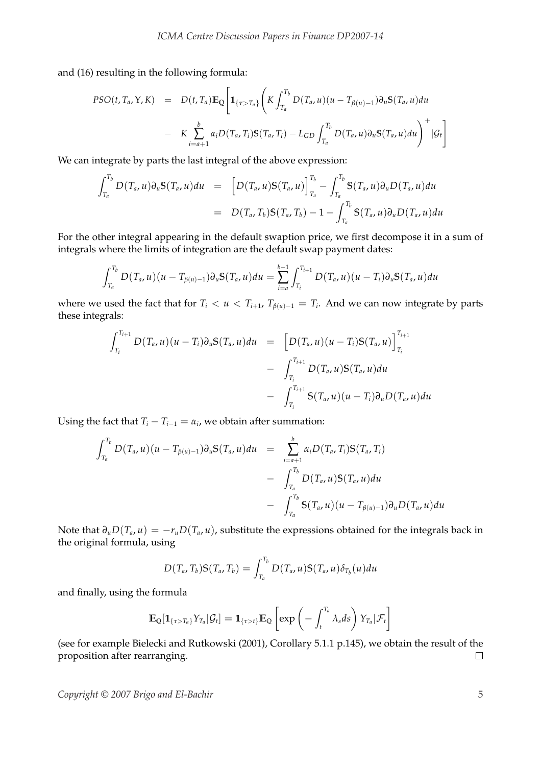and (16) resulting in the following formula:

$$
PSO(t, T_a, Y, K) = D(t, T_a) \mathbb{E}_{\mathbb{Q}} \bigg[ \mathbf{1}_{\{\tau > T_a\}} \bigg( K \int_{T_a}^{T_b} D(T_a, u) (u - T_{\beta(u)-1}) \partial_u S(T_a, u) du - K \sum_{i=a+1}^{b} \alpha_i D(T_a, T_i) S(T_a, T_i) - L_{GD} \int_{T_a}^{T_b} D(T_a, u) \partial_u S(T_a, u) du \bigg)^{+} |G_t \bigg]
$$

We can integrate by parts the last integral of the above expression:

$$
\int_{T_a}^{T_b} D(T_a, u) \partial_u S(T_a, u) du = [D(T_a, u) S(T_a, u)]_{T_a}^{T_b} - \int_{T_a}^{T_b} S(T_a, u) \partial_u D(T_a, u) du
$$
  
= 
$$
D(T_a, T_b) S(T_a, T_b) - 1 - \int_{T_a}^{T_b} S(T_a, u) \partial_u D(T_a, u) du
$$

For the other integral appearing in the default swaption price, we first decompose it in a sum of integrals where the limits of integration are the default swap payment dates:

$$
\int_{T_a}^{T_b} D(T_a, u)(u - T_{\beta(u)-1}) \partial_u S(T_a, u) du = \sum_{i=a}^{b-1} \int_{T_i}^{T_{i+1}} D(T_a, u)(u - T_i) \partial_u S(T_a, u) du
$$

where we used the fact that for  $T_i < u < T_{i+1}$ ,  $T_{\beta(u)-1} = T_i$ . And we can now integrate by parts these integrals:

$$
\int_{T_i}^{T_{i+1}} D(T_a, u)(u - T_i) \partial_u S(T_a, u) du = \left[ D(T_a, u)(u - T_i) S(T_a, u) \right]_{T_i}^{T_{i+1}} - \int_{T_i}^{T_{i+1}} D(T_a, u) S(T_a, u) du - \int_{T_i}^{T_{i+1}} S(T_a, u)(u - T_i) \partial_u D(T_a, u) du
$$

Using the fact that  $T_i - T_{i-1} = \alpha_i$ , we obtain after summation:

$$
\int_{T_a}^{T_b} D(T_a, u)(u - T_{\beta(u)-1}) \partial_u S(T_a, u) du = \sum_{i=a+1}^{b} \alpha_i D(T_a, T_i) S(T_a, T_i)
$$
  
- 
$$
\int_{T_a}^{T_b} D(T_a, u) S(T_a, u) du
$$
  
- 
$$
\int_{T_a}^{T_b} S(T_a, u)(u - T_{\beta(u)-1}) \partial_u D(T_a, u) du
$$

Note that  $\partial_u D(T_a, u) = -r_u D(T_a, u)$ , substitute the expressions obtained for the integrals back in the original formula, using

$$
D(T_a,T_b)S(T_a,T_b)=\int_{T_a}^{T_b}D(T_a,u)S(T_a,u)\delta_{T_b}(u)du
$$

and finally, using the formula

$$
\mathbb{E}_{\mathbb{Q}}[\mathbf{1}_{\{\tau>T_a\}}Y_{T_a}|\mathcal{G}_t] = \mathbf{1}_{\{\tau>t\}}\mathbb{E}_{\mathbb{Q}}\left[\exp\left(-\int_t^{T_a} \lambda_s ds\right)Y_{T_a}|\mathcal{F}_t\right]
$$

(see for example Bielecki and Rutkowski (2001), Corollary 5.1.1 p.145), we obtain the result of the proposition after rearranging.  $\Box$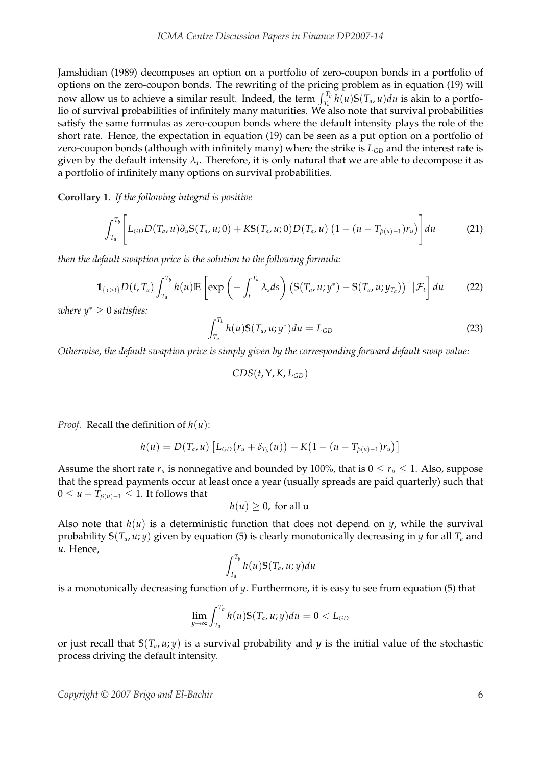Jamshidian (1989) decomposes an option on a portfolio of zero-coupon bonds in a portfolio of options on the zero-coupon bonds. The rewriting of the pricing problem as in equation (19) will now allow us to achieve a similar result. Indeed, the term  $\int_{T_a}^{T_b} h(u)S(T_a, u)du$  is akin to a portfolio of survival probabilities of infinitely many maturities. We also note that survival probabilities satisfy the same formulas as zero-coupon bonds where the default intensity plays the role of the short rate. Hence, the expectation in equation (19) can be seen as a put option on a portfolio of zero-coupon bonds (although with infinitely many) where the strike is  $L_{GD}$  and the interest rate is given by the default intensity  $\lambda_t$ . Therefore, it is only natural that we are able to decompose it as a portfolio of infinitely many options on survival probabilities.

**Corollary 1.** *If the following integral is positive*

$$
\int_{T_a}^{T_b} \left[ L_{GD} D(T_a, u) \partial_u S(T_a, u; 0) + K S(T_a, u; 0) D(T_a, u) \left( 1 - (u - T_{\beta(u)-1}) r_u \right) \right] du \tag{21}
$$

*then the default swaption price is the solution to the following formula:*

$$
\mathbf{1}_{\{\tau>t\}}D(t,T_a)\int_{T_a}^{T_b}h(u)\mathbb{E}\left[\exp\left(-\int_t^{T_a}\lambda_s ds\right)\left(\mathbb{S}(T_a,u;y^*)-\mathbb{S}(T_a,u;y_{T_a})\right)^+|\mathcal{F}_t\right]du\qquad(22)
$$

 $where y^* \geq 0 satisfies:$ 

$$
\int_{T_a}^{T_b} h(u)S(T_a, u; y^*) du = L_{GD}
$$
\n(23)

*Otherwise, the default swaption price is simply given by the corresponding forward default swap value:*

$$
CDS(t, Y, K, L_{GD})
$$

*Proof.* Recall the definition of *h*(*u*):

$$
h(u) = D(T_a, u) [L_{GD}(r_u + \delta_{T_b}(u)) + K(1 - (u - T_{\beta(u)-1})r_u)]
$$

Assume the short rate  $r_u$  is nonnegative and bounded by 100%, that is  $0 \le r_u \le 1$ . Also, suppose that the spread payments occur at least once a year (usually spreads are paid quarterly) such that  $0 \le u - T_{\beta(u)-1}$  ≤ 1. It follows that

$$
h(u) \geq 0
$$
, for all u

Also note that  $h(u)$  is a deterministic function that does not depend on  $y$ , while the survival probability **S**(*T<sup>a</sup>* , *u*; *y*) given by equation (5) is clearly monotonically decreasing in *y* for all *T<sup>a</sup>* and *u*. Hence,

$$
\int_{T_a}^{T_b} h(u) \mathbb{S}(T_a, u; y) du
$$

is a monotonically decreasing function of *y*. Furthermore, it is easy to see from equation (5) that

$$
\lim_{y\to\infty}\int_{T_a}^{T_b}h(u)\mathbb{S}(T_a,u;y)du=0
$$

or just recall that **S**(*T<sup>a</sup>* , *u*; *y*) is a survival probability and *y* is the initial value of the stochastic process driving the default intensity.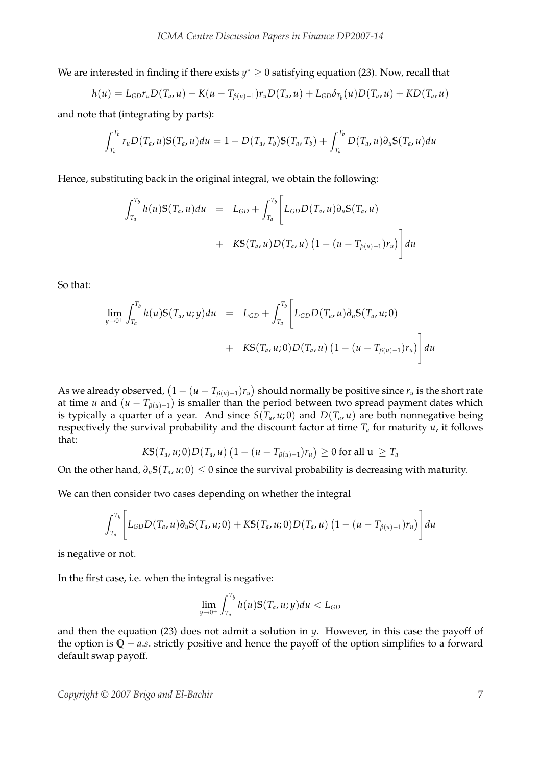We are interested in finding if there exists *y*<sup>\*</sup> ≥ 0 satisfying equation (23). Now, recall that

$$
h(u) = L_{GD} r_u D(T_a, u) - K(u - T_{\beta(u)-1}) r_u D(T_a, u) + L_{GD} \delta_{T_b}(u) D(T_a, u) + K D(T_a, u)
$$

and note that (integrating by parts):

$$
\int_{T_a}^{T_b} r_u D(T_a, u) S(T_a, u) du = 1 - D(T_a, T_b) S(T_a, T_b) + \int_{T_a}^{T_b} D(T_a, u) \partial_u S(T_a, u) du
$$

Hence, substituting back in the original integral, we obtain the following:

$$
\int_{T_a}^{T_b} h(u)S(T_a, u)du = L_{GD} + \int_{T_a}^{T_b} \left[ L_{GD}D(T_a, u)\partial_u S(T_a, u) + KS(T_a, u)D(T_a, u) (1 - (u - T_{\beta(u)-1})r_u) \right] du
$$

So that:

$$
\lim_{y \to 0^+} \int_{T_a}^{T_b} h(u) S(T_a, u; y) du = L_{GD} + \int_{T_a}^{T_b} \left[ L_{GD} D(T_a, u) \partial_u S(T_a, u; 0) + KS(T_a, u; 0) D(T_a, u) \left( 1 - (u - T_{\beta(u) - 1}) r_u \right) \right] du
$$

As we already observed,  $(1 - (u - T_{\beta(u)-1})r_u)$ ¢ should normally be positive since *r<sup>u</sup>* is the short rate at time *u* and  $(u - T_{\beta(u)-1})$  is smaller than the period between two spread payment dates which is typically a quarter of a year. And since  $S(T_a, u; 0)$  and  $D(T_a, u)$  are both nonnegative being respectively the survival probability and the discount factor at time *T<sup>a</sup>* for maturity *u*, it follows that: ¡ ¢

$$
K\mathcal{S}(T_a, u; 0)D(T_a, u)\left(1 - (u - T_{\beta(u)-1})r_u\right) \geq 0 \text{ for all } u \geq T_a
$$

On the other hand,  $\partial_u S(T_a, u; 0) \leq 0$  since the survival probability is decreasing with maturity.

We can then consider two cases depending on whether the integral

$$
\int_{T_a}^{T_b}\Bigg[L_{GD}D(T_a,u)\partial_u S(T_a,u;0)+KS(T_a,u;0)D(T_a,u)\left(1-(u-T_{\beta(u)-1})r_u\right)\Bigg]du
$$

is negative or not.

In the first case, i.e. when the integral is negative:

$$
\lim_{y\to 0^+}\int_{T_a}^{T_b}h(u)\mathbb{S}(T_a,u;y)du
$$

and then the equation (23) does not admit a solution in *y*. However, in this case the payoff of the option is **Q** − *a*.*s*. strictly positive and hence the payoff of the option simplifies to a forward default swap payoff.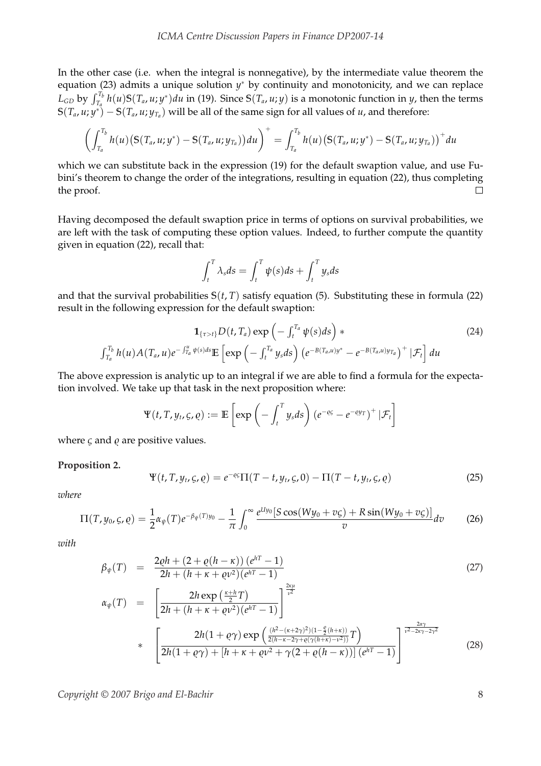In the other case (i.e. when the integral is nonnegative), by the intermediate value theorem the equation (23) admits a unique solution  $y^*$  by continuity and monotonicity, and we can replace  $L_{GD}$  by  $\int_{T_a}^{T_b} h(u)S(T_a, u; y^*)du$  in (19). Since  $S(T_a, u; y)$  is a monotonic function in y, then the terms  $\mathbf{S}(T_a, u; y^*) - \mathbf{S}(T_a, u; y_{T_a})$  will be all of the same sign for all values of *u*, and therefore:

$$
\left(\int_{T_a}^{T_b} h(u) \big( \mathbb{S}(T_a, u; y^*) - \mathbb{S}(T_a, u; y_{T_a}) \big) du \right)^{+} = \int_{T_a}^{T_b} h(u) \big( \mathbb{S}(T_a, u; y^*) - \mathbb{S}(T_a, u; y_{T_a}) \big)^{+} du
$$

which we can substitute back in the expression (19) for the default swaption value, and use Fubini's theorem to change the order of the integrations, resulting in equation (22), thus completing the proof.  $\Box$ 

Having decomposed the default swaption price in terms of options on survival probabilities, we are left with the task of computing these option values. Indeed, to further compute the quantity given in equation (22), recall that:

$$
\int_t^T \lambda_s ds = \int_t^T \psi(s) ds + \int_t^T y_s ds
$$

and that the survival probabilities  $S(t, T)$  satisfy equation (5). Substituting these in formula (22) result in the following expression for the default swaption:

$$
\mathbf{1}_{\{\tau>t\}}D(t,T_a)\exp\left(-\int_t^{T_a}\psi(s)ds\right) * \int_{T_a}^{T_b}h(u)A(T_a,u)e^{-\int_{T_a}^u\psi(s)ds}\mathbb{E}\left[\exp\left(-\int_t^{T_a}y_sds\right)\left(e^{-B(T_a,u)y^*}-e^{-B(T_a,u)y_{T_a}}\right)^+\left|\mathcal{F}_t\right]du
$$
\n(24)

The above expression is analytic up to an integral if we are able to find a formula for the expectation involved. We take up that task in the next proposition where:

$$
\Psi(t, T, y_t, \varsigma, \varrho) := \mathbb{E}\left[\exp\left(-\int_t^T y_s ds\right) \left(e^{-\varrho\varsigma} - e^{-\varrho y_T}\right)^+ | \mathcal{F}_t\right]
$$

where  $\varsigma$  and  $\varrho$  are positive values.

#### **Proposition 2.**

$$
\Psi(t, T, y_t, \varsigma, \varrho) = e^{-\varrho \varsigma} \Pi(T - t, y_t, \varsigma, 0) - \Pi(T - t, y_t, \varsigma, \varrho)
$$
\n(25)

*where*

$$
\Pi(T, y_0, \zeta, \varrho) = \frac{1}{2} \alpha_{\psi}(T) e^{-\beta_{\psi}(T)y_0} - \frac{1}{\pi} \int_0^{\infty} \frac{e^{lly_0} [S \cos(Wy_0 + v\zeta) + R \sin(Wy_0 + v\zeta)]}{v} dv \tag{26}
$$

*with*

$$
\beta_{\psi}(T) = \frac{2\varrho h + (2 + \varrho(h - \kappa)) (e^{hT} - 1)}{2h + (h + \kappa + \varrho v^2)(e^{hT} - 1)}
$$
\n
$$
\alpha_{\psi}(T) = \left[ \frac{2h \exp\left(\frac{\kappa + h}{2}T\right)}{2h + (h + \kappa + \varrho v^2)(e^{hT} - 1)} \right]^{\frac{2\kappa\mu}{\nu^2}}
$$
\n(27)

$$
2h + (h + \kappa + \varrho v^{2})(e^{hT} - 1)
$$
  

$$
* \left[ \frac{2h(1 + \varrho \gamma) \exp \left( \frac{(h^{2} - (\kappa + 2\gamma)^{2})(1 - \frac{\varrho}{2}(h + \kappa))}{2(h - \kappa - 2\gamma + \varrho(\gamma(h + \kappa) - v^{2}))} T \right) }{2h(1 + \varrho \gamma) + [h + \kappa + \varrho v^{2} + \gamma(2 + \varrho(h - \kappa))](e^{hT} - 1)} \right]^{\frac{2\alpha \gamma}{v^{2} - 2\kappa \gamma - 2\gamma^{2}}} \tag{28}
$$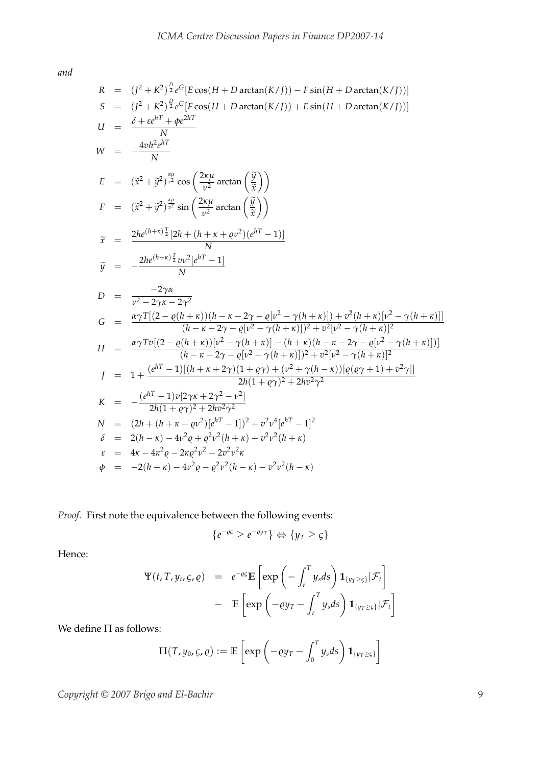*and*

$$
R = (J^2 + K^2)^{\frac{D}{2}} e^G [E \cos(H + D \arctan(K/J)) - F \sin(H + D \arctan(K/J))]
$$
\n
$$
S = (J^2 + K^2)^{\frac{D}{2}} e^G [F \cos(H + D \arctan(K/J)) + E \sin(H + D \arctan(K/J))]
$$
\n
$$
U = \frac{\delta + \varepsilon e^{hT} + \varphi e^{2hT}}{N}
$$
\n
$$
W = -\frac{4vh^2 e^{hT}}{N}
$$
\n
$$
E = (\bar{x}^2 + \bar{y}^2)^{\frac{p_H}{v^2}} \cos\left(\frac{2\kappa \mu}{v^2} \arctan\left(\frac{\bar{y}}{\bar{x}}\right)\right)
$$
\n
$$
F = (\bar{x}^2 + \bar{y}^2)^{\frac{p_H}{v^2}} \sin\left(\frac{2\kappa \mu}{v^2} \arctan\left(\frac{\bar{y}}{\bar{x}}\right)\right)
$$
\n
$$
\tilde{x} = \frac{2he^{(h+\kappa)\frac{T}{2}}[2h + (h + \kappa + \varrho v^2)(e^{hT} - 1)]}{N}
$$
\n
$$
\tilde{y} = -\frac{2\gamma \alpha}{N}
$$
\n
$$
D = \frac{-2\gamma \alpha}{v^2 - 2\gamma \kappa - 2\gamma^2}
$$
\n
$$
G = \frac{\alpha \gamma T[(2 - \varrho(h + \kappa))(h - \kappa - 2\gamma - \varrho[v^2 - \gamma(h + \kappa)]) + v^2(h + \kappa)[v^2 - \gamma(h + \kappa)]]}{(h - \kappa - 2\gamma - \varrho[v^2 - \gamma(h + \kappa)])^2 + v^2[v^2 - \gamma(h + \kappa)]^2}
$$
\n
$$
H = \frac{\alpha \gamma T \nu [(2 - \varrho(h + \kappa)) [v^2 - \gamma(h + \kappa)] - (h + \kappa)(h - \kappa - 2\gamma - \varrho[v^2 - \gamma(h + \kappa)]]}{(h - \kappa - 2\gamma - \varrho[v^2 - \gamma(h + \kappa)])^2 + v^2[v^2 - \gamma(h + \kappa)]^2}
$$
\n
$$
J = 1 + \frac{(e^{hT} - 1)[(h + \kappa + 2\gamma)(1 + \varrho \gamma) + (v
$$

*Proof.* First note the equivalence between the following events:

$$
\{e^{-\varrho\varsigma} \geq e^{-\varrho y_T}\} \Leftrightarrow \{y_T \geq \varsigma\}
$$

Hence:

$$
\Psi(t, T, y_t, \varsigma, \varrho) = e^{-\varrho \varsigma} \mathbb{E} \left[ \exp \left( - \int_t^T y_s ds \right) \mathbf{1}_{\{y_T \geq \varsigma\}} |\mathcal{F}_t \right] - \mathbb{E} \left[ \exp \left( -\varrho y_T - \int_t^T y_s ds \right) \mathbf{1}_{\{y_T \geq \varsigma\}} |\mathcal{F}_t \right]
$$

We define  $\Pi$  as follows:

$$
\Pi(T, y_0, \varsigma, \varrho) := \mathbb{E}\left[\exp\left(-\varrho y_T - \int_0^T y_s ds\right) \mathbf{1}_{\{y_T \geq \varsigma\}}\right]
$$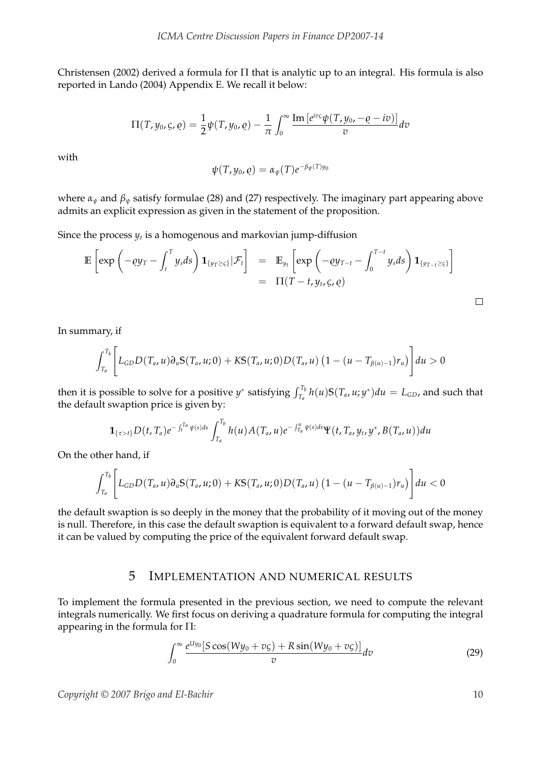Christensen (2002) derived a formula for Π that is analytic up to an integral. His formula is also reported in Lando (2004) Appendix E. We recall it below:

$$
\Pi(T, y_0, \varsigma, \varrho) = \frac{1}{2} \psi(T, y_0, \varrho) - \frac{1}{\pi} \int_0^\infty \frac{\text{Im} \left[e^{iv\varsigma} \psi(T, y_0, -\varrho - iv)\right]}{v} dv
$$

with

$$
\psi(T,y_0,\varrho)=\alpha_\psi(T)e^{-\beta_\psi(T)y_0}
$$

where  $\alpha_{\psi}$  and  $\beta_{\psi}$  satisfy formulae (28) and (27) respectively. The imaginary part appearing above admits an explicit expression as given in the statement of the proposition.

Since the process  $y_t$  is a homogenous and markovian jump-diffusion

$$
\mathbb{E}\left[\exp\left(-\varrho y_T - \int_t^T y_s ds\right) \mathbf{1}_{\{y_T \geq \varsigma\}}|\mathcal{F}_t\right] = \mathbb{E}_{y_t}\left[\exp\left(-\varrho y_{T-t} - \int_0^{T-t} y_s ds\right) \mathbf{1}_{\{y_{T-t} \geq \varsigma\}}\right]
$$
  
=  $\Pi(T-t, y_t, \varsigma, \varrho)$ 

In summary, if

$$
\int_{T_a}^{T_b} \Bigg[ L_{GD} D(T_a, u) \partial_u S(T_a, u; 0) + K S(T_a, u; 0) D(T_a, u) \left( 1 - (u - T_{\beta(u)-1}) r_u \right) \Bigg] du > 0
$$

then it is possible to solve for a positive *y*<sup>\*</sup> satisfying  $\int_{T_a}^{T_b} h(u)S(T_a, u; y^*)du = L_{GD}$ , and such that the default swaption price is given by:

$$
\mathbf{1}_{\{\tau > t\}} D(t, T_a) e^{-\int_t^{T_a} \psi(s) ds} \int_{T_a}^{T_b} h(u) A(T_a, u) e^{-\int_{T_a}^u \psi(s) ds} \Psi(t, T_a, y_t, y^*, B(T_a, u)) du
$$

On the other hand, if

$$
\int_{T_a}^{T_b} \Bigg[ L_{GD} D(T_a, u) \partial_u S(T_a, u; 0) + K S(T_a, u; 0) D(T_a, u) \left(1 - (u - T_{\beta(u)-1}) r_u\right) \Bigg] du < 0
$$

the default swaption is so deeply in the money that the probability of it moving out of the money is null. Therefore, in this case the default swaption is equivalent to a forward default swap, hence it can be valued by computing the price of the equivalent forward default swap.

# 5 IMPLEMENTATION AND NUMERICAL RESULTS

To implement the formula presented in the previous section, we need to compute the relevant integrals numerically. We first focus on deriving a quadrature formula for computing the integral appearing in the formula for Π:

$$
\int_0^\infty \frac{e^{U y_0} \left[S \cos(W y_0 + v \zeta) + R \sin(W y_0 + v \zeta)\right]}{v} dv \tag{29}
$$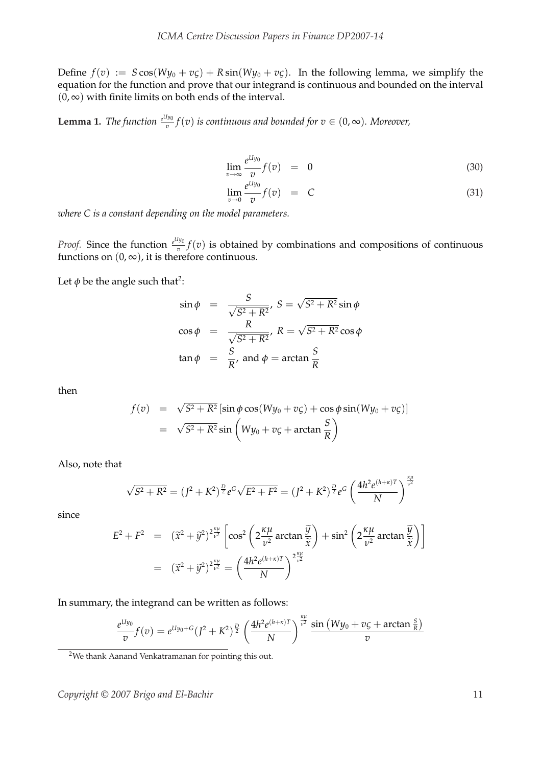Define  $f(v) := S \cos(Wy_0 + v\zeta) + R \sin(Wy_0 + v\zeta)$ . In the following lemma, we simplify the equation for the function and prove that our integrand is continuous and bounded on the interval  $(0, \infty)$  with finite limits on both ends of the interval.

**Lemma 1.** *The function*  $\frac{e^{Uy_0}}{T}$  $\frac{f(y_0)}{f}(v)$  *is continuous and bounded for*  $v \in (0,\infty)$ *. Moreover,* 

$$
\lim_{v \to \infty} \frac{e^{U y_0}}{v} f(v) = 0 \tag{30}
$$

$$
\lim_{v \to 0} \frac{e^{U y_0}}{v} f(v) = C \tag{31}
$$

*κµ*

*where C is a constant depending on the model parameters.*

*Proof.* Since the function  $\frac{e^{U y_0}}{T}$  $\frac{y_0}{v} f(v)$  is obtained by combinations and compositions of continuous functions on  $(0, \infty)$ , it is therefore continuous.

Let  $\phi$  be the angle such that<sup>2</sup>:

$$
\sin \phi = \frac{S}{\sqrt{S^2 + R^2}}, S = \sqrt{S^2 + R^2} \sin \phi
$$
  
\n
$$
\cos \phi = \frac{R}{\sqrt{S^2 + R^2}}, R = \sqrt{S^2 + R^2} \cos \phi
$$
  
\n
$$
\tan \phi = \frac{S}{R}, \text{ and } \phi = \arctan \frac{S}{R}
$$

then

$$
f(v) = \sqrt{S^2 + R^2} [\sin \phi \cos(Wy_0 + v\zeta) + \cos \phi \sin(Wy_0 + v\zeta)]
$$
  
=  $\sqrt{S^2 + R^2} \sin \left(Wy_0 + v\zeta + \arctan \frac{S}{R}\right)$ 

Also, note that

$$
\sqrt{S^2 + R^2} = (J^2 + K^2)^{\frac{D}{2}} e^G \sqrt{E^2 + F^2} = (J^2 + K^2)^{\frac{D}{2}} e^G \left(\frac{4h^2 e^{(h+x)T}}{N}\right)^{\frac{\kappa \mu}{v^2}}
$$

since

$$
E^{2} + F^{2} = (\tilde{x}^{2} + \tilde{y}^{2})^{\frac{\chi\mu}{\nu^{2}}} \left[ \cos^{2}\left(2\frac{\kappa\mu}{\nu^{2}}\arctan\frac{\tilde{y}}{\tilde{x}}\right) + \sin^{2}\left(2\frac{\kappa\mu}{\nu^{2}}\arctan\frac{\tilde{y}}{\tilde{x}}\right) \right]
$$

$$
= (\tilde{x}^{2} + \tilde{y}^{2})^{\frac{\chi\mu}{\nu^{2}}} = \left(\frac{4h^{2}e^{(h+\kappa)T}}{N}\right)^{2\frac{\kappa\mu}{\nu^{2}}}
$$

#### In summary, the integrand can be written as follows:

$$
\frac{e^{Uy_0}}{v}f(v) = e^{Uy_0 + G}(J^2 + K^2)^{\frac{D}{2}} \left(\frac{4h^2e^{(h+\kappa)T}}{N}\right)^{\frac{\kappa\mu}{v^2}} \frac{\sin{(Wy_0 + v\zeta + \arctan{\frac{S}{R}})}}{v}
$$

<sup>2</sup>We thank Aanand Venkatramanan for pointing this out.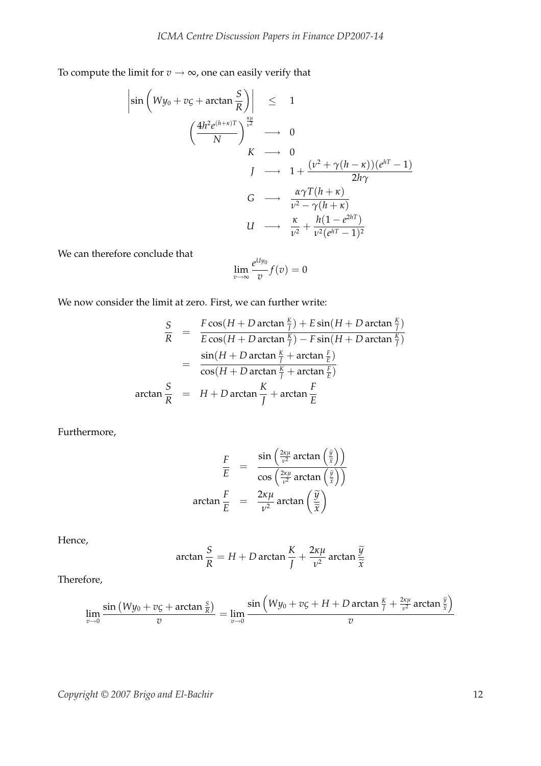To compute the limit for  $v \rightarrow \infty$ , one can easily verify that

$$
\begin{array}{rcl}\n\left|\sin\left(Wy_0+v\zeta+\arctan\frac{S}{R}\right)\right| & \leq & 1\\
& \left(\frac{4h^2e^{(h+\kappa)T}}{N}\right)^{\frac{\kappa\mu}{\nu^2}} & \to & 0\\
& K & \to & 0\\
& J & \to & 1+\frac{(\nu^2+\gamma(h-\kappa))(e^{hT}-1)}{2h\gamma}\\
& G & \to & \frac{\alpha\gamma T(h+\kappa)}{\nu^2-\gamma(h+\kappa)}\\
& U & \to & \frac{\kappa}{\nu^2}+\frac{h(1-e^{2hT})}{\nu^2(e^{hT}-1)^2}\n\end{array}
$$

We can therefore conclude that

$$
\lim_{v \to \infty} \frac{e^{U y_0}}{v} f(v) = 0
$$

We now consider the limit at zero. First, we can further write:

$$
\frac{S}{R} = \frac{F \cos(H + D \arctan \frac{K}{J}) + E \sin(H + D \arctan \frac{K}{J})}{E \cos(H + D \arctan \frac{K}{J}) - F \sin(H + D \arctan \frac{K}{J})}
$$
\n
$$
= \frac{\sin(H + D \arctan \frac{K}{J} + \arctan \frac{F}{E})}{\cos(H + D \arctan \frac{K}{J} + \arctan \frac{F}{E})}
$$
\n
$$
\arctan \frac{S}{R} = H + D \arctan \frac{K}{J} + \arctan \frac{F}{E}
$$

Furthermore,

$$
\frac{F}{E} = \frac{\sin\left(\frac{2\kappa\mu}{\nu^2}\arctan\left(\frac{\tilde{y}}{\tilde{x}}\right)\right)}{\cos\left(\frac{2\kappa\mu}{\nu^2}\arctan\left(\frac{\tilde{y}}{\tilde{x}}\right)\right)}
$$
\n
$$
\arctan\frac{F}{E} = \frac{2\kappa\mu}{\nu^2}\arctan\left(\frac{\tilde{y}}{\tilde{x}}\right)
$$

Hence,

$$
\arctan\frac{S}{R} = H + D\arctan\frac{K}{J} + \frac{2\kappa\mu}{\nu^2}\arctan\frac{\widetilde{y}}{\widetilde{x}}
$$

Therefore,

$$
\lim_{v\to 0}\frac{\sin{(Wy_0+vc+arctan{\frac{S}{R}})}}{v}=\lim_{v\to 0}\frac{\sin{(Wy_0+vc+H+Darctan{\frac{K}{f}}+\frac{2\kappa\mu}{v^2}arctan{\frac{\widetilde{y}}{\widetilde{x}}})}}{v}
$$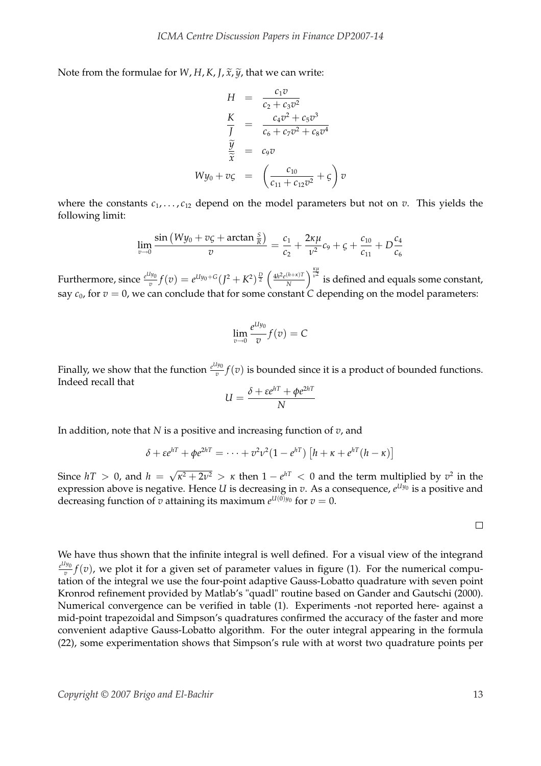Note from the formulae for *W*, *H*, *K*, *J*,  $\tilde{x}$ ,  $\tilde{y}$ , that we can write:

$$
H = \frac{c_1 v}{c_2 + c_3 v^2}
$$
  
\n
$$
\frac{K}{J} = \frac{c_4 v^2 + c_5 v^3}{c_6 + c_7 v^2 + c_8 v^4}
$$
  
\n
$$
\frac{\widetilde{y}}{\widetilde{x}} = c_9 v
$$
  
\n
$$
Wy_0 + v\zeta = \left(\frac{c_{10}}{c_{11} + c_{12} v^2} + \zeta\right) v
$$

where the constants  $c_1, \ldots, c_{12}$  depend on the model parameters but not on *v*. This yields the following limit:

$$
\lim_{v \to 0} \frac{\sin (Wy_0 + v\varsigma + \arctan \frac{\varsigma}{R})}{v} = \frac{c_1}{c_2} + \frac{2\kappa\mu}{v^2}c_9 + \varsigma + \frac{c_{10}}{c_{11}} + D\frac{c_4}{c_6}
$$

Furthermore, since  $e^{U y_0}$  $e^{Uy_0} f(v) = e^{Uy_0+G}(J^2+K^2)^{\frac{D}{2}}$  $\int 4h^2e^{(h+\kappa)T}$ *N*  $\int_{v^2}^{x\mu}$  is defined and equals some constant, say  $c_0$ , for  $v = 0$ , we can conclude that for some constant *C* depending on the model parameters:

$$
\lim_{v \to 0} \frac{e^{U y_0}}{v} f(v) = C
$$

Finally, we show that the function  $e^{U_1y_0}$  $\frac{y_{00}}{v}f(v)$  is bounded since it is a product of bounded functions. Indeed recall that

$$
U = \frac{\delta + \varepsilon e^{hT} + \phi e^{2hT}}{N}
$$

In addition, note that *N* is a positive and increasing function of *v*, and

$$
\delta + \varepsilon e^{hT} + \phi e^{2hT} = \cdots + v^2 \nu^2 (1 - e^{hT}) \left[ h + \kappa + e^{hT} (h - \kappa) \right]
$$

Since  $hT > 0$ , and  $h =$ √  $\sqrt{\kappa^2 + 2\nu^2} > \kappa$  then  $1 - e^{hT} < 0$  and the term multiplied by  $v^2$  in the expression above is negative. Hence *U* is decreasing in *v*. As a consequence,  $e^{U y_0}$  is a positive and decreasing function of *v* attaining its maximum  $e^{U(0)y_0}$  for  $v=0$ .

 $\Box$ 

We have thus shown that the infinite integral is well defined. For a visual view of the integrand *e Uy*0  $\frac{y_{00}}{v}f(v)$ , we plot it for a given set of parameter values in figure (1). For the numerical computation of the integral we use the four-point adaptive Gauss-Lobatto quadrature with seven point Kronrod refinement provided by Matlab's "quadl" routine based on Gander and Gautschi (2000). Numerical convergence can be verified in table (1). Experiments -not reported here- against a mid-point trapezoidal and Simpson's quadratures confirmed the accuracy of the faster and more convenient adaptive Gauss-Lobatto algorithm. For the outer integral appearing in the formula (22), some experimentation shows that Simpson's rule with at worst two quadrature points per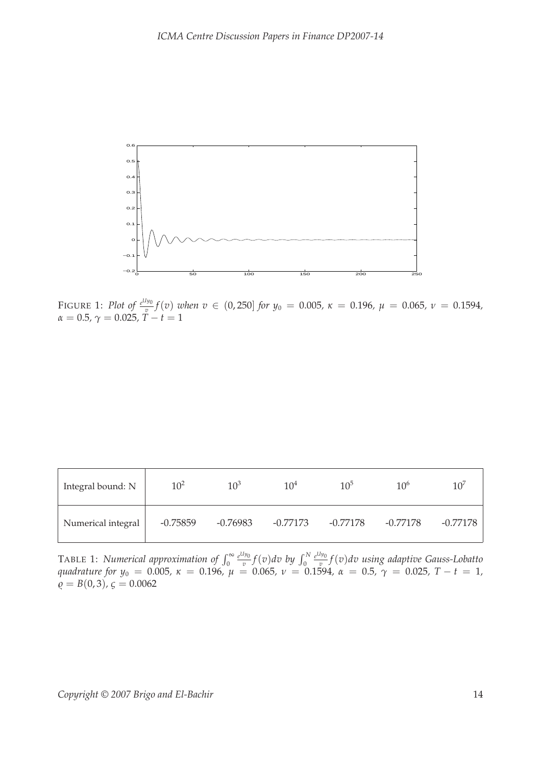

FIGURE 1: *Plot of*  $e^{U y_0}$  $v_y^{\prime\prime 0}(v)$  *when*  $v \in (0,250]$  *for*  $y_0 = 0.005$ ,  $\kappa = 0.196$ ,  $\mu = 0.065$ ,  $v = 0.1594$ ,  $\alpha = 0.5$ ,  $\gamma = 0.025$ ,  $T - t = 1$ 

| Integral bound: N  | $10^{2}$   | $10^3$     | 10 <sup>4</sup> | $10^{5}$   | 10 <sup>6</sup> | $10^5$     |
|--------------------|------------|------------|-----------------|------------|-----------------|------------|
| Numerical integral | $-0.75859$ | $-0.76983$ | $-0.77173$      | $-0.77178$ | $-0.77178$      | $-0.77178$ |

TABLE 1: *Numerical approximation of*  $\int_0^\infty$ *e Uy*0  $\int_{\overline{v}}^{I_{y_0}} f(v) dv$  by  $\int_{0}^{N}$ *e Uy*0 *v f*(*v*)*dv using adaptive Gauss-Lobatto quadrature for y*<sup>0</sup> = 0.005*, κ* = 0.196*, µ* = 0.065*, ν* = 0.1594*, α* = 0.5*, γ* = 0.025*, T* − *t* = 1*,*  $\ddot{\rho} = B(0, 3), \zeta = 0.0062$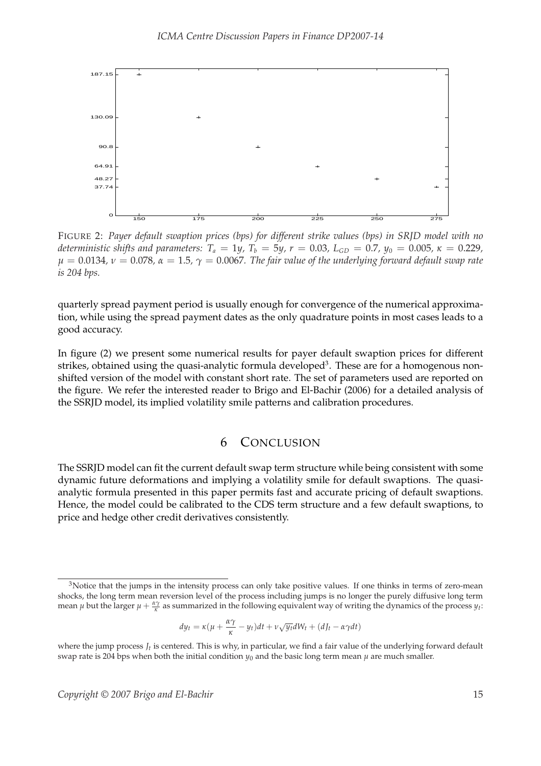

FIGURE 2: *Payer default swaption prices (bps) for different strike values (bps) in SRJD model with no deterministic shifts and parameters:*  $T_a = 1y$ ,  $T_b = 5y$ ,  $r = 0.03$ ,  $L_{GD} = 0.7$ ,  $y_0 = 0.005$ ,  $\kappa = 0.229$ ,  $\mu = 0.0134$ ,  $\nu = 0.078$ ,  $\alpha = 1.5$ ,  $\gamma = 0.0067$ . The fair value of the underlying forward default swap rate *is 204 bps.*

quarterly spread payment period is usually enough for convergence of the numerical approximation, while using the spread payment dates as the only quadrature points in most cases leads to a good accuracy.

In figure (2) we present some numerical results for payer default swaption prices for different strikes, obtained using the quasi-analytic formula developed<sup>3</sup>. These are for a homogenous nonshifted version of the model with constant short rate. The set of parameters used are reported on the figure. We refer the interested reader to Brigo and El-Bachir (2006) for a detailed analysis of the SSRJD model, its implied volatility smile patterns and calibration procedures.

# 6 CONCLUSION

The SSRJD model can fit the current default swap term structure while being consistent with some dynamic future deformations and implying a volatility smile for default swaptions. The quasianalytic formula presented in this paper permits fast and accurate pricing of default swaptions. Hence, the model could be calibrated to the CDS term structure and a few default swaptions, to price and hedge other credit derivatives consistently.

$$
dy_t = \kappa(\mu + \frac{\alpha \gamma}{\kappa} - y_t)dt + \nu \sqrt{y_t}dW_t + (dJ_t - \alpha \gamma dt)
$$

<sup>&</sup>lt;sup>3</sup>Notice that the jumps in the intensity process can only take positive values. If one thinks in terms of zero-mean shocks, the long term mean reversion level of the process including jumps is no longer the purely diffusive long term mean  $\mu$  but the larger  $\mu + \frac{\alpha \gamma}{\kappa}$  as summarized in the following equivalent way of writing the dynamics of the process  $y_t$ :

where the jump process  $J_t$  is centered. This is why, in particular, we find a fair value of the underlying forward default swap rate is 204 bps when both the initial condition  $y_0$  and the basic long term mean  $\mu$  are much smaller.